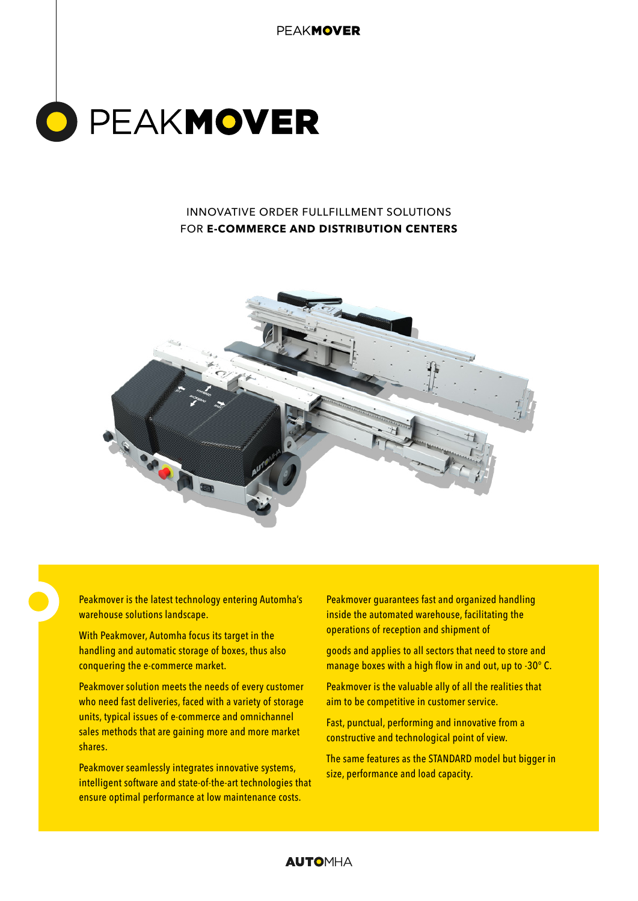**PEAKMOVER** 



### INNOVATIVE ORDER FULLFILLMENT SOLUTIONS FOR **E-COMMERCE AND DISTRIBUTION CENTERS**



Peakmover is the latest technology entering Automha's warehouse solutions landscape.

With Peakmover, Automha focus its target in the handling and automatic storage of boxes, thus also conquering the e-commerce market.

Peakmover solution meets the needs of every customer who need fast deliveries, faced with a variety of storage units, typical issues of e-commerce and omnichannel sales methods that are gaining more and more market shares.

Peakmover seamlessly integrates innovative systems, intelligent software and state-of-the-art technologies that ensure optimal performance at low maintenance costs.

Peakmover guarantees fast and organized handling inside the automated warehouse, facilitating the operations of reception and shipment of

goods and applies to all sectors that need to store and manage boxes with a high flow in and out, up to -30° C.

Peakmover is the valuable ally of all the realities that aim to be competitive in customer service.

Fast, punctual, performing and innovative from a constructive and technological point of view.

The same features as the STANDARD model but bigger in size, performance and load capacity.

## **AUTOMHA**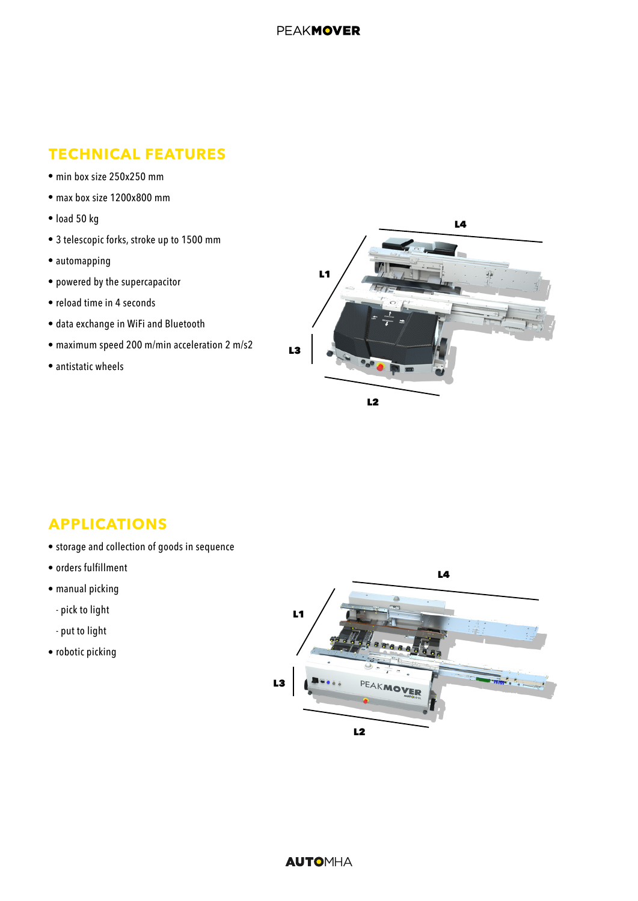## **TECHNICAL FEATURES**

- min box size 250x250 mm
- max box size 1200x800 mm
- load 50 kg
- 3 telescopic forks, stroke up to 1500 mm
- automapping
- powered by the supercapacitor
- reload time in 4 seconds
- data exchange in WiFi and Bluetooth
- maximum speed 200 m/min acceleration 2 m/s2
- antistatic wheels



## **APPLICATIONS**

- storage and collection of goods in sequence
- orders fulfillment
- manual picking
	- pick to light
	- put to light
- robotic picking

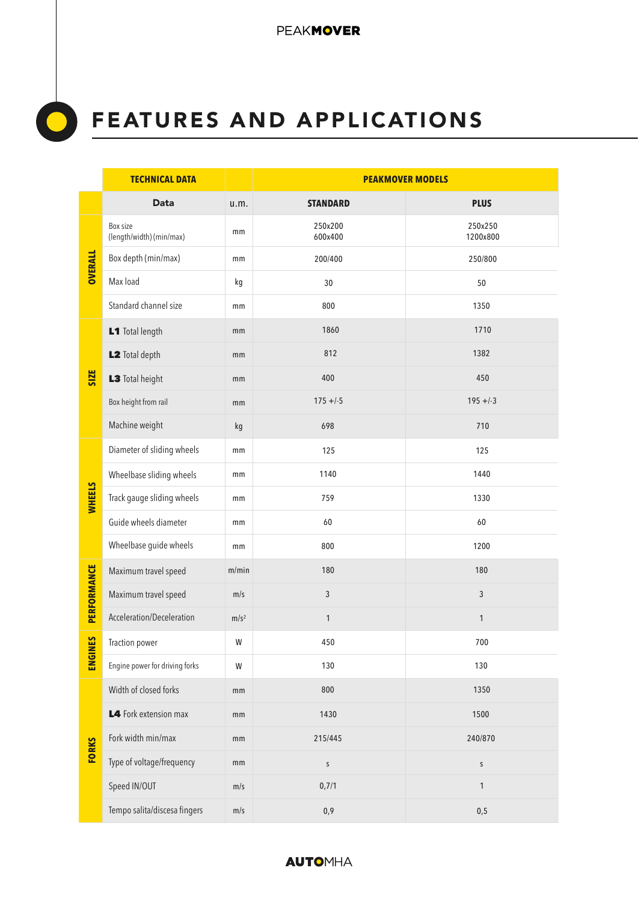# FEATURES AND APPLICATIONS

|                | <b>TECHNICAL DATA</b>                |                  | <b>PEAKMOVER MODELS</b> |                     |
|----------------|--------------------------------------|------------------|-------------------------|---------------------|
|                | <b>Data</b>                          | u.m.             | <b>STANDARD</b>         | <b>PLUS</b>         |
| <b>OVERALL</b> | Box size<br>(length/width) (min/max) | mm               | 250x200<br>600x400      | 250x250<br>1200x800 |
|                | Box depth (min/max)                  | mm               | 200/400                 | 250/800             |
|                | Max load                             | kg               | 30                      | 50                  |
|                | Standard channel size                | mm               | 800                     | 1350                |
| <b>SIZE</b>    | L1 Total length                      | mm               | 1860                    | 1710                |
|                | L2 Total depth                       | mm               | 812                     | 1382                |
|                | L3 Total height                      | mm               | 400                     | 450                 |
|                | Box height from rail                 | mm               | $175 + (-5)$            | $195 + (-3)$        |
|                | Machine weight                       | kg               | 698                     | 710                 |
| <b>WHEELS</b>  | Diameter of sliding wheels           | mm               | 125                     | 125                 |
|                | Wheelbase sliding wheels             | mm               | 1140                    | 1440                |
|                | Track gauge sliding wheels           | mm               | 759                     | 1330                |
|                | Guide wheels diameter                | mm               | 60                      | 60                  |
|                | Wheelbase guide wheels               | mm               | 800                     | 1200                |
| PERFORMANCE    | Maximum travel speed                 | m/min            | 180                     | 180                 |
|                | Maximum travel speed                 | m/s              | 3                       | 3                   |
|                | Acceleration/Deceleration            | m/s <sup>2</sup> | $\mathbf{1}$            | 1                   |
| ENGINES        | Traction power                       | W                | 450                     | 700                 |
|                | Engine power for driving forks       | W                | 130                     | 130                 |
| <b>FORKS</b>   | Width of closed forks                | mm               | 800                     | 1350                |
|                | L4 Fork extension max                | mm               | 1430                    | 1500                |
|                | Fork width min/max                   | mm               | 215/445                 | 240/870             |
|                | Type of voltage/frequency            | mm               | $\sf S$                 | $\sf S$             |
|                | Speed IN/OUT                         | m/s              | 0,7/1                   | $\mathbf{1}$        |
|                | Tempo salita/discesa fingers         | m/s              | $0,9$                   | 0,5                 |

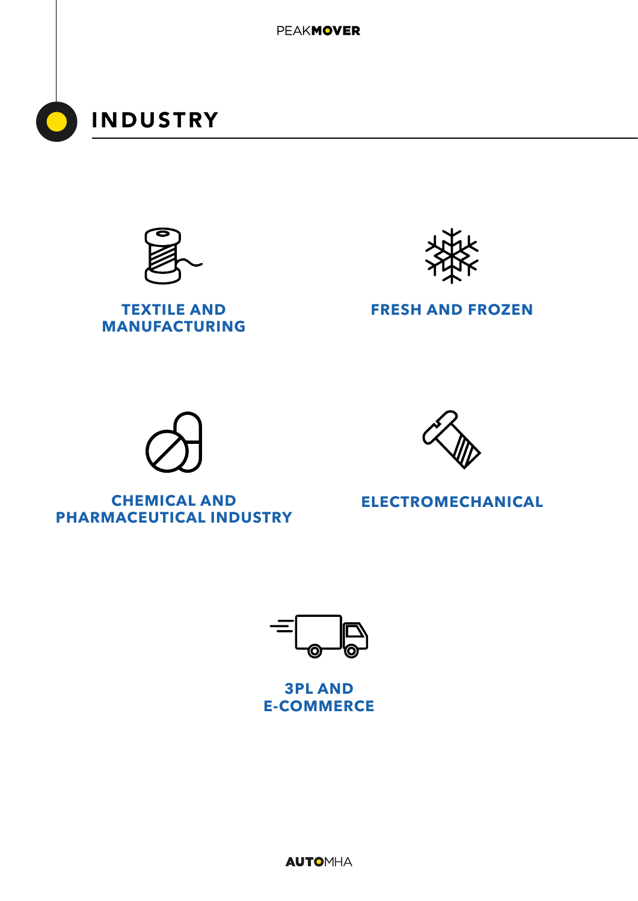**PEAKMOVER** 





**TEXTILE AND MANUFACTURING**



**FRESH AND FROZEN**



**CHEMICAL AND PHARMACEUTICAL INDUSTRY**



**ELECTROMECHANICAL**



**3PL AND E-COMMERCE**

**AUTOMHA**